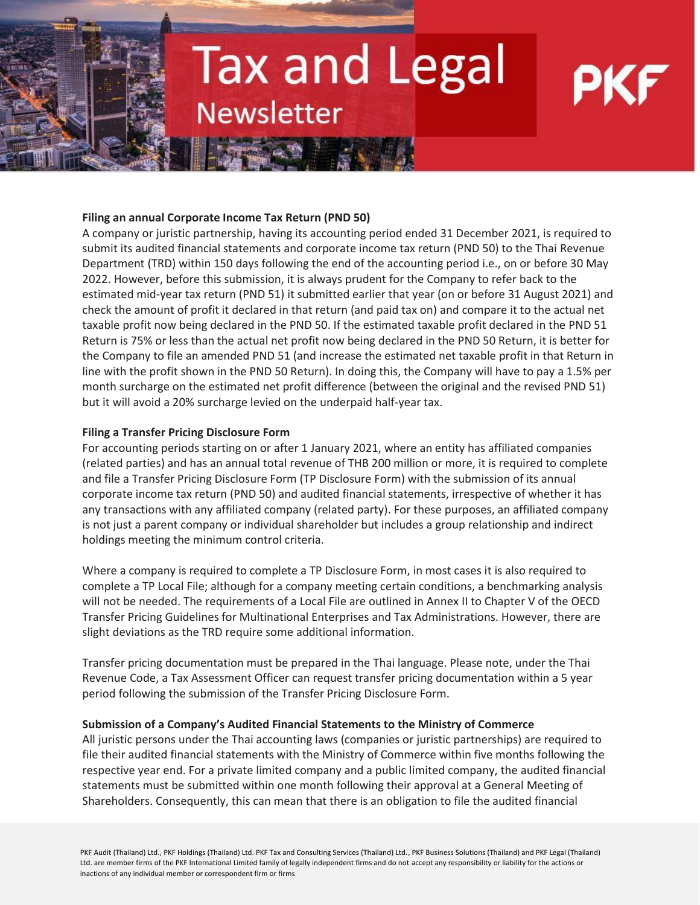## **Tax and Legal Newsletter**

## **Filing an annual Corporate Income Tax Return (PND 50)**

A company or juristic partnership, having its accounting period ended 31 December 2021, is required to submit its audited financial statements and corporate income tax return (PND 50) to the Thai Revenue Department (TRD) within 150 days following the end of the accounting period i.e., on or before 30 May 2022. However, before this submission, it is always prudent for the Company to refer back to the estimated mid-year tax return (PND 51) it submitted earlier that year (on or before 31 August 2021) and check the amount of profit it declared in that return (and paid tax on) and compare it to the actual net taxable profit now being declared in the PND 50. If the estimated taxable profit declared in the PND 51 Return is 75% or less than the actual net profit now being declared in the PND 50 Return, it is better for the Company to file an amended PND 51 (and increase the estimated net taxable profit in that Return in line with the profit shown in the PND 50 Return). In doing this, the Company will have to pay a 1.5% per month surcharge on the estimated net profit difference (between the original and the revised PND 51) but it will avoid a 20% surcharge levied on the underpaid half-year tax.

## **Filing a Transfer Pricing Disclosure Form**

For accounting periods starting on or after 1 January 2021, where an entity has affiliated companies (related parties) and has an annual total revenue of THB 200 million or more, it is required to complete and file a Transfer Pricing Disclosure Form (TP Disclosure Form) with the submission of its annual corporate income tax return (PND 50) and audited financial statements, irrespective of whether it has any transactions with any affiliated company (related party). For these purposes, an affiliated company is not just a parent company or individual shareholder but includes a group relationship and indirect holdings meeting the minimum control criteria.

Where a company is required to complete a TP Disclosure Form, in most cases it is also required to complete a TP Local File; although for a company meeting certain conditions, a benchmarking analysis will not be needed. The requirements of a Local File are outlined in Annex II to Chapter V of the OECD Transfer Pricing Guidelines for Multinational Enterprises and Tax Administrations. However, there are slight deviations as the TRD require some additional information.

Transfer pricing documentation must be prepared in the Thai language. Please note, under the Thai Revenue Code, a Tax Assessment Officer can request transfer pricing documentation within a 5 year period following the submission of the Transfer Pricing Disclosure Form.

## **Submission of a Company's Audited Financial Statements to the Ministry of Commerce**

All juristic persons under the Thai accounting laws (companies or juristic partnerships) are required to file their audited financial statements with the Ministry of Commerce within five months following the respective year end. For a private limited company and a public limited company, the audited financial statements must be submitted within one month following their approval at a General Meeting of Shareholders. Consequently, this can mean that there is an obligation to file the audited financial